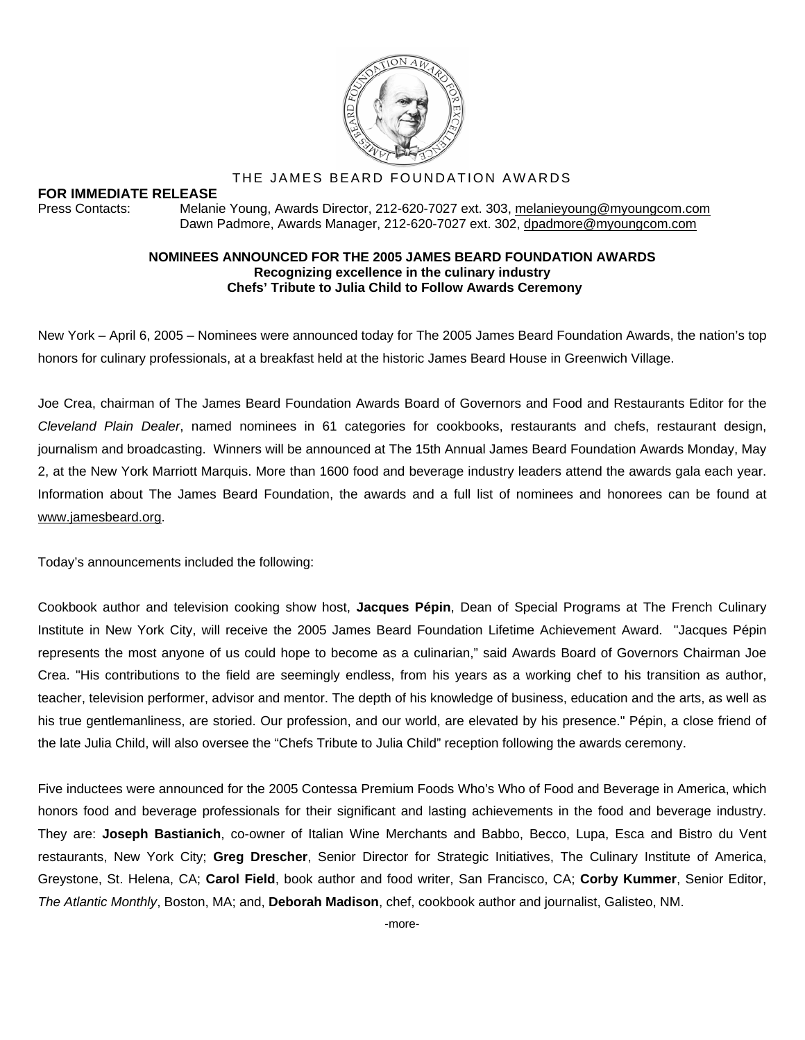

## THE JAMES BEARD FOUNDATION AWARDS

#### **FOR IMMEDIATE RELEASE**

Press Contacts: Melanie Young, Awards Director, 212-620-7027 ext. 303, melanieyoung@myoungcom.com Dawn Padmore, Awards Manager, 212-620-7027 ext. 302, dpadmore@myoungcom.com

#### **NOMINEES ANNOUNCED FOR THE 2005 JAMES BEARD FOUNDATION AWARDS Recognizing excellence in the culinary industry Chefs' Tribute to Julia Child to Follow Awards Ceremony**

New York – April 6, 2005 – Nominees were announced today for The 2005 James Beard Foundation Awards, the nation's top honors for culinary professionals, at a breakfast held at the historic James Beard House in Greenwich Village.

Joe Crea, chairman of The James Beard Foundation Awards Board of Governors and Food and Restaurants Editor for the *Cleveland Plain Dealer*, named nominees in 61 categories for cookbooks, restaurants and chefs, restaurant design, journalism and broadcasting. Winners will be announced at The 15th Annual James Beard Foundation Awards Monday, May 2, at the New York Marriott Marquis. More than 1600 food and beverage industry leaders attend the awards gala each year. Information about The James Beard Foundation, the awards and a full list of nominees and honorees can be found at www.jamesbeard.org.

Today's announcements included the following:

Cookbook author and television cooking show host, **Jacques Pépin**, Dean of Special Programs at The French Culinary Institute in New York City, will receive the 2005 James Beard Foundation Lifetime Achievement Award. "Jacques Pépin represents the most anyone of us could hope to become as a culinarian," said Awards Board of Governors Chairman Joe Crea. "His contributions to the field are seemingly endless, from his years as a working chef to his transition as author, teacher, television performer, advisor and mentor. The depth of his knowledge of business, education and the arts, as well as his true gentlemanliness, are storied. Our profession, and our world, are elevated by his presence." Pépin, a close friend of the late Julia Child, will also oversee the "Chefs Tribute to Julia Child" reception following the awards ceremony.

Five inductees were announced for the 2005 Contessa Premium Foods Who's Who of Food and Beverage in America, which honors food and beverage professionals for their significant and lasting achievements in the food and beverage industry. They are: **Joseph Bastianich**, co-owner of Italian Wine Merchants and Babbo, Becco, Lupa, Esca and Bistro du Vent restaurants, New York City; **Greg Drescher**, Senior Director for Strategic Initiatives, The Culinary Institute of America, Greystone, St. Helena, CA; **Carol Field**, book author and food writer, San Francisco, CA; **Corby Kummer**, Senior Editor, *The Atlantic Monthly*, Boston, MA; and, **Deborah Madison**, chef, cookbook author and journalist, Galisteo, NM.

-more-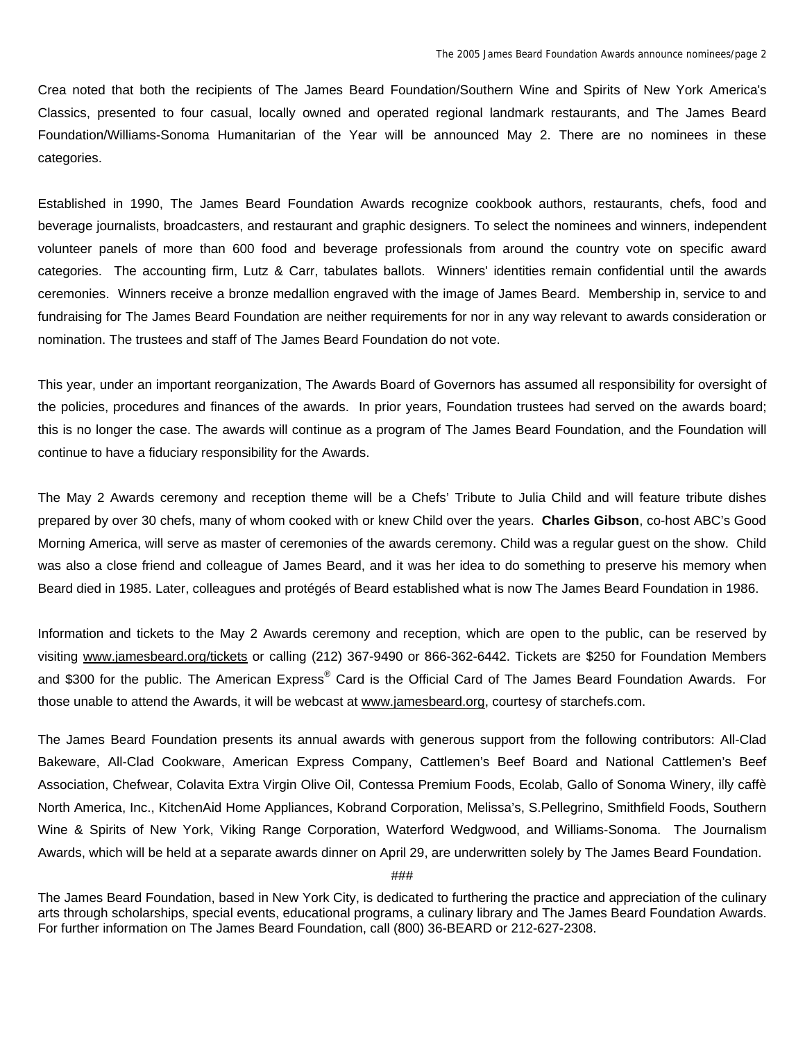Crea noted that both the recipients of The James Beard Foundation/Southern Wine and Spirits of New York America's Classics, presented to four casual, locally owned and operated regional landmark restaurants, and The James Beard Foundation/Williams-Sonoma Humanitarian of the Year will be announced May 2. There are no nominees in these categories.

Established in 1990, The James Beard Foundation Awards recognize cookbook authors, restaurants, chefs, food and beverage journalists, broadcasters, and restaurant and graphic designers. To select the nominees and winners, independent volunteer panels of more than 600 food and beverage professionals from around the country vote on specific award categories. The accounting firm, Lutz & Carr, tabulates ballots. Winners' identities remain confidential until the awards ceremonies. Winners receive a bronze medallion engraved with the image of James Beard. Membership in, service to and fundraising for The James Beard Foundation are neither requirements for nor in any way relevant to awards consideration or nomination. The trustees and staff of The James Beard Foundation do not vote.

This year, under an important reorganization, The Awards Board of Governors has assumed all responsibility for oversight of the policies, procedures and finances of the awards. In prior years, Foundation trustees had served on the awards board; this is no longer the case. The awards will continue as a program of The James Beard Foundation, and the Foundation will continue to have a fiduciary responsibility for the Awards.

The May 2 Awards ceremony and reception theme will be a Chefs' Tribute to Julia Child and will feature tribute dishes prepared by over 30 chefs, many of whom cooked with or knew Child over the years. **Charles Gibson**, co-host ABC's Good Morning America, will serve as master of ceremonies of the awards ceremony. Child was a regular guest on the show. Child was also a close friend and colleague of James Beard, and it was her idea to do something to preserve his memory when Beard died in 1985. Later, colleagues and protégés of Beard established what is now The James Beard Foundation in 1986.

Information and tickets to the May 2 Awards ceremony and reception, which are open to the public, can be reserved by visiting www.jamesbeard.org/tickets or calling (212) 367-9490 or 866-362-6442. Tickets are \$250 for Foundation Members and \$300 for the public. The American Express® Card is the Official Card of The James Beard Foundation Awards. For those unable to attend the Awards, it will be webcast at www.jamesbeard.org, courtesy of starchefs.com.

The James Beard Foundation presents its annual awards with generous support from the following contributors: All-Clad Bakeware, All-Clad Cookware, American Express Company, Cattlemen's Beef Board and National Cattlemen's Beef Association, Chefwear, Colavita Extra Virgin Olive Oil, Contessa Premium Foods, Ecolab, Gallo of Sonoma Winery, illy caffè North America, Inc., KitchenAid Home Appliances, Kobrand Corporation, Melissa's, S.Pellegrino, Smithfield Foods, Southern Wine & Spirits of New York, Viking Range Corporation, Waterford Wedgwood, and Williams-Sonoma. The Journalism Awards, which will be held at a separate awards dinner on April 29, are underwritten solely by The James Beard Foundation.

###

The James Beard Foundation, based in New York City, is dedicated to furthering the practice and appreciation of the culinary arts through scholarships, special events, educational programs, a culinary library and The James Beard Foundation Awards. For further information on The James Beard Foundation, call (800) 36-BEARD or 212-627-2308.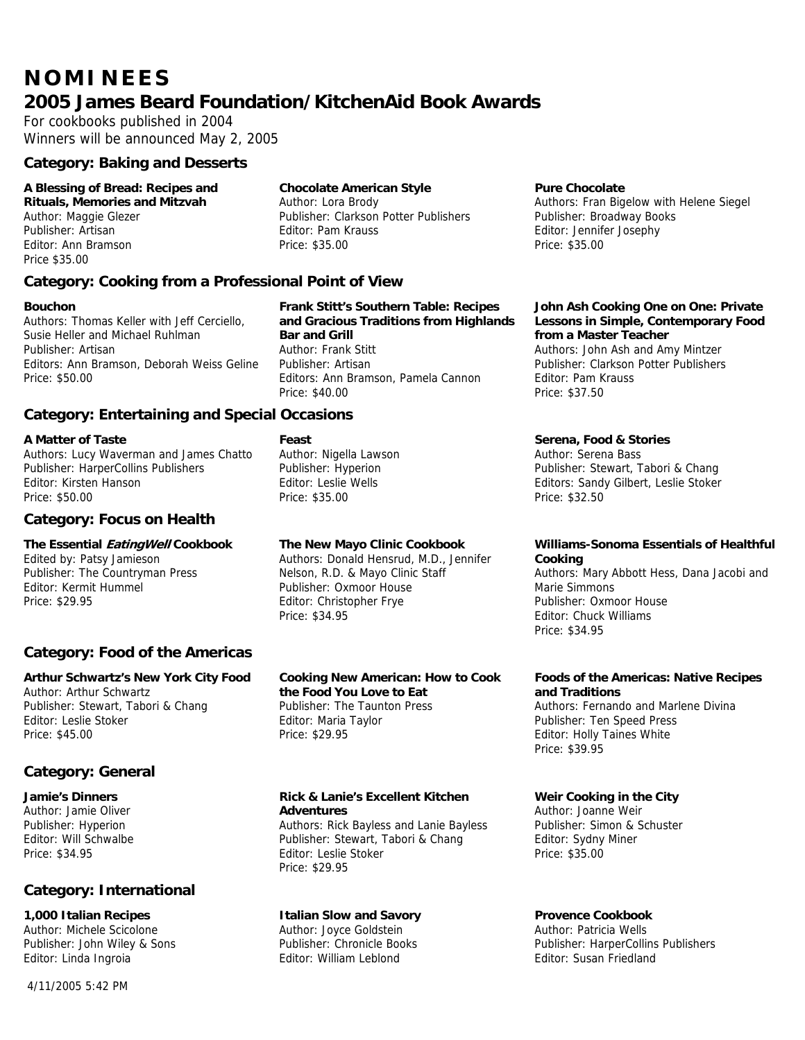# **NOMINEES 2005 James Beard Foundation/KitchenAid Book Awards**

For cookbooks published in 2004 Winners will be announced May 2, 2005

## **Category: Baking and Desserts**

#### **A Blessing of Bread: Recipes and Rituals, Memories and Mitzvah**

Author: Maggie Glezer Publisher: Artisan Editor: Ann Bramson Price \$35.00

## **Category: Cooking from a Professional Point of View**

#### **Bouchon**

Authors: Thomas Keller with Jeff Cerciello, Susie Heller and Michael Ruhlman Publisher: Artisan Editors: Ann Bramson, Deborah Weiss Geline Price: \$50.00

## **Category: Entertaining and Special Occasions**

#### **A Matter of Taste**

Authors: Lucy Waverman and James Chatto Publisher: HarperCollins Publishers Editor: Kirsten Hanson Price: \$50.00

## **Category: Focus on Health**

#### **The Essential EatingWell Cookbook**

Edited by: Patsy Jamieson Publisher: The Countryman Press Editor: Kermit Hummel Price: \$29.95

## **Category: Food of the Americas**

**Arthur Schwartz's New York City Food**  Author: Arthur Schwartz Publisher: Stewart, Tabori & Chang Editor: Leslie Stoker Price: \$45.00

## **Category: General**

#### **Jamie's Dinners**

Author: Jamie Oliver Publisher: Hyperion Editor: Will Schwalbe Price: \$34.95

## **Category: International**

**1,000 Italian Recipes**  Author: Michele Scicolone Publisher: John Wiley & Sons Editor: Linda Ingroia

4/11/2005 5:42 PM

#### **Chocolate American Style**

**Bar and Grill**  Author: Frank Stitt Publisher: Artisan

Price: \$35.00

Author: Lora Brody Publisher: Clarkson Potter Publishers Editor: Pam Krauss Price: \$35.00

**Frank Stitt's Southern Table: Recipes and Gracious Traditions from Highlands** 

#### **Pure Chocolate**

Authors: Fran Bigelow with Helene Siegel Publisher: Broadway Books Editor: Jennifer Josephy Price: \$35.00

#### **John Ash Cooking One on One: Private Lessons in Simple, Contemporary Food from a Master Teacher**

Authors: John Ash and Amy Mintzer Publisher: Clarkson Potter Publishers Editor: Pam Krauss Price: \$37.50

#### **Serena, Food & Stories**

Author: Serena Bass Publisher: Stewart, Tabori & Chang Editors: Sandy Gilbert, Leslie Stoker Price: \$32.50

#### **Williams-Sonoma Essentials of Healthful Cooking**

Authors: Mary Abbott Hess, Dana Jacobi and Marie Simmons Publisher: Oxmoor House Editor: Chuck Williams Price: \$34.95

#### **Foods of the Americas: Native Recipes and Traditions**

Authors: Fernando and Marlene Divina Publisher: Ten Speed Press Editor: Holly Taines White Price: \$39.95

#### **Weir Cooking in the City**

Author: Joanne Weir Publisher: Simon & Schuster Editor: Sydny Miner Price: \$35.00

#### **Provence Cookbook**

Author: Patricia Wells Publisher: HarperCollins Publishers Editor: Susan Friedland

Editors: Ann Bramson, Pamela Cannon Price: \$40.00 **Feast**  Author: Nigella Lawson Publisher: Hyperion Editor: Leslie Wells

## **The New Mayo Clinic Cookbook**

Authors: Donald Hensrud, M.D., Jennifer Nelson, R.D. & Mayo Clinic Staff Publisher: Oxmoor House Editor: Christopher Frye Price: \$34.95

**Cooking New American: How to Cook the Food You Love to Eat**  Publisher: The Taunton Press Editor: Maria Taylor Price: \$29.95

#### **Rick & Lanie's Excellent Kitchen Adventures**

Authors: Rick Bayless and Lanie Bayless Publisher: Stewart, Tabori & Chang Editor: Leslie Stoker Price: \$29.95

#### **Italian Slow and Savory**

Author: Joyce Goldstein Publisher: Chronicle Books Editor: William Leblond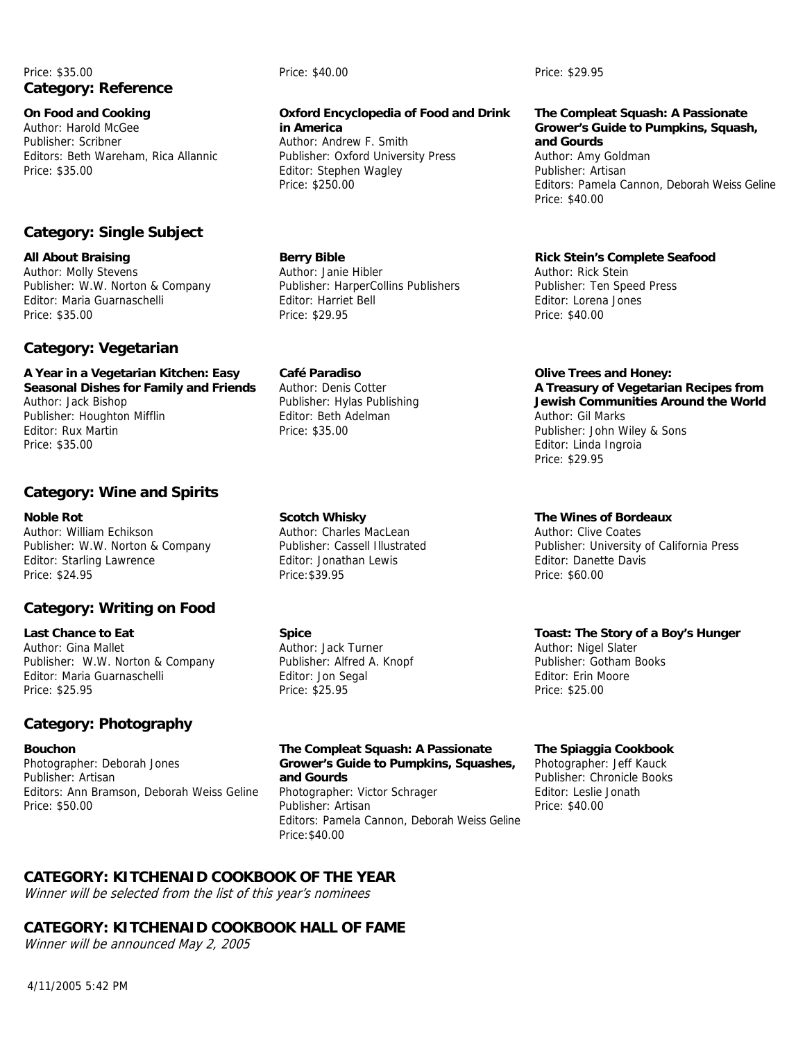#### Price: \$35.00 Price: \$40.00 Price: \$29.95 **Category: Reference**

#### **On Food and Cooking**

Author: Harold McGee Publisher: Scribner Editors: Beth Wareham, Rica Allannic Price: \$35.00

## **Category: Single Subject**

**All About Braising**  Author: Molly Stevens Publisher: W.W. Norton & Company Editor: Maria Guarnaschelli Price: \$35.00

#### **Category: Vegetarian**

**A Year in a Vegetarian Kitchen: Easy Seasonal Dishes for Family and Friends**  Author: Jack Bishop Publisher: Houghton Mifflin Editor: Rux Martin Price: \$35.00

## **Category: Wine and Spirits**

**Noble Rot**  Author: William Echikson Publisher: W.W. Norton & Company Editor: Starling Lawrence Price: \$24.95

#### **Category: Writing on Food**

**Last Chance to Eat**  Author: Gina Mallet Publisher: W.W. Norton & Company Editor: Maria Guarnaschelli Price: \$25.95

#### **Category: Photography**

**Bouchon**  Photographer: Deborah Jones Publisher: Artisan Editors: Ann Bramson, Deborah Weiss Geline Price: \$50.00

#### **Oxford Encyclopedia of Food and Drink in America**

Author: Andrew F. Smith Publisher: Oxford University Press Editor: Stephen Wagley Price: \$250.00

**Berry Bible**  Author: Janie Hibler Publisher: HarperCollins Publishers Editor: Harriet Bell Price: \$29.95

**Café Paradiso**  Author: Denis Cotter Publisher: Hylas Publishing Editor: Beth Adelman Price: \$35.00

**Scotch Whisky**  Author: Charles MacLean Publisher: Cassell Illustrated Editor: Jonathan Lewis Price:\$39.95

**Spice**  Author: Jack Turner Publisher: Alfred A. Knopf Editor: Jon Segal Price: \$25.95

Price:\$40.00

**The Compleat Squash: A Passionate Grower's Guide to Pumpkins, Squashes, and Gourds**  Photographer: Victor Schrager Publisher: Artisan Editors: Pamela Cannon, Deborah Weiss Geline

#### **The Compleat Squash: A Passionate Grower's Guide to Pumpkins, Squash, and Gourds**  Author: Amy Goldman Publisher: Artisan Editors: Pamela Cannon, Deborah Weiss Geline Price: \$40.00

**Rick Stein's Complete Seafood**  Author: Rick Stein Publisher: Ten Speed Press Editor: Lorena Jones Price: \$40.00

**Olive Trees and Honey: A Treasury of Vegetarian Recipes from Jewish Communities Around the World** Author: Gil Marks Publisher: John Wiley & Sons Editor: Linda Ingroia Price: \$29.95

**The Wines of Bordeaux**  Author: Clive Coates Publisher: University of California Press Editor: Danette Davis Price: \$60.00

#### **Toast: The Story of a Boy's Hunger**

Author: Nigel Slater Publisher: Gotham Books Editor: Erin Moore Price: \$25.00

#### **The Spiaggia Cookbook**

Photographer: Jeff Kauck Publisher: Chronicle Books Editor: Leslie Jonath Price: \$40.00

## **CATEGORY: KITCHENAID COOKBOOK OF THE YEAR**

Winner will be selected from the list of this year's nominees

## **CATEGORY: KITCHENAID COOKBOOK HALL OF FAME**

Winner will be announced May 2, 2005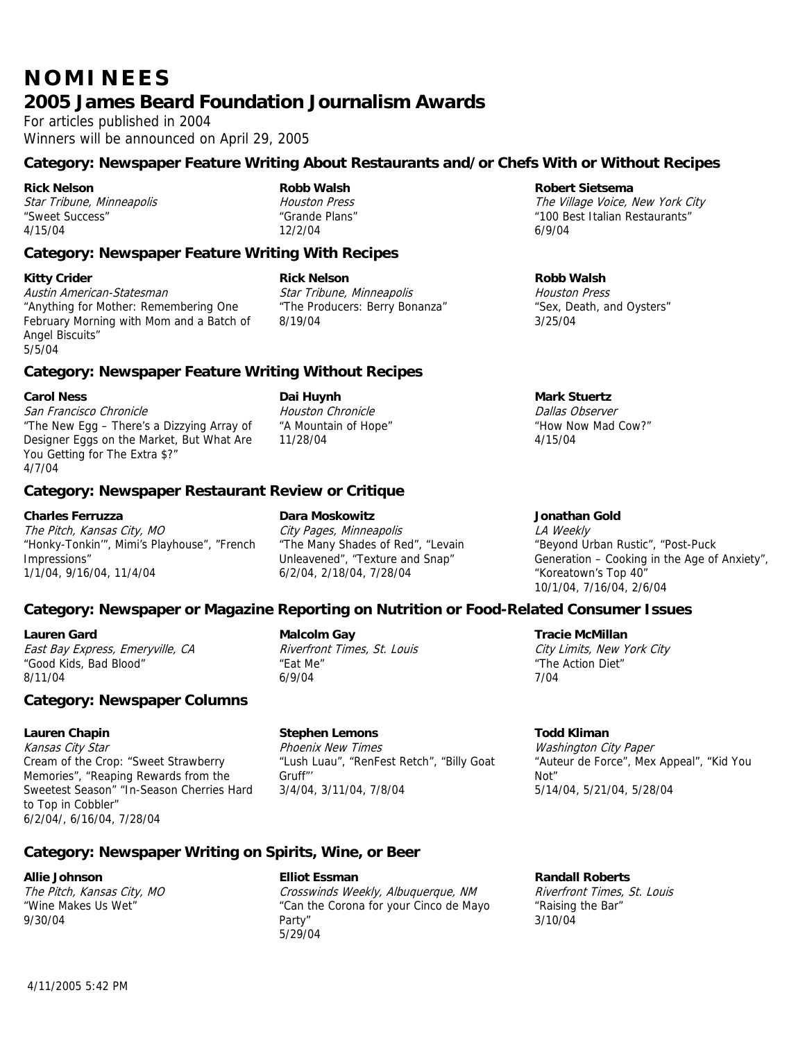# **NOMINEES 2005 James Beard Foundation Journalism Awards**

For articles published in 2004 Winners will be announced on April 29, 2005

## **Category: Newspaper Feature Writing About Restaurants and/or Chefs With or Without Recipes**

**Rick Nelson**  Star Tribune, Minneapolis "Sweet Success" 4/15/04

**Robb Walsh**  Houston Press "Grande Plans" 12/2/04

## **Category: Newspaper Feature Writing With Recipes**

**Kitty Crider**  Austin American-Statesman "Anything for Mother: Remembering One February Morning with Mom and a Batch of Angel Biscuits" 5/5/04

**Rick Nelson**  Star Tribune, Minneapolis "The Producers: Berry Bonanza" 8/19/04

## **Category: Newspaper Feature Writing Without Recipes**

#### **Carol Ness**

San Francisco Chronicle "The New Egg – There's a Dizzying Array of Designer Eggs on the Market, But What Are You Getting for The Extra \$?" 4/7/04

**Dai Huynh**  Houston Chronicle "A Mountain of Hope"

11/28/04

## **Category: Newspaper Restaurant Review or Critique**

#### **Charles Ferruzza**

The Pitch, Kansas City, MO "Honky-Tonkin'", Mimi's Playhouse", "French Impressions" 1/1/04, 9/16/04, 11/4/04

**Dara Moskowitz**  City Pages, Minneapolis "The Many Shades of Red", "Levain Unleavened", "Texture and Snap" 6/2/04, 2/18/04, 7/28/04

## **Category: Newspaper or Magazine Reporting on Nutrition or Food-Related Consumer Issues**

#### **Lauren Gard**

East Bay Express, Emeryville, CA "Good Kids, Bad Blood" 8/11/04

## **Category: Newspaper Columns**

## **Lauren Chapin**

Kansas City Star Cream of the Crop: "Sweet Strawberry Memories", "Reaping Rewards from the Sweetest Season" "In-Season Cherries Hard to Top in Cobbler" 6/2/04/, 6/16/04, 7/28/04

**Malcolm Gay** 

Riverfront Times, St. Louis "Eat Me" 6/9/04

## **Stephen Lemons**

Phoenix New Times "Lush Luau", "RenFest Retch", "Billy Goat Gruff"' 3/4/04, 3/11/04, 7/8/04

## **Category: Newspaper Writing on Spirits, Wine, or Beer**

#### **Allie Johnson**

The Pitch, Kansas City, MO "Wine Makes Us Wet" 9/30/04

**Elliot Essman**  Crosswinds Weekly, Albuquerque, NM "Can the Corona for your Cinco de Mayo Party" 5/29/04

**Robert Sietsema**  The Village Voice, New York City "100 Best Italian Restaurants" 6/9/04

**Robb Walsh**  Houston Press "Sex, Death, and Oysters" 3/25/04

## **Mark Stuertz**

Dallas Observer "How Now Mad Cow?" 4/15/04

#### **Jonathan Gold**

LA Weekly "Beyond Urban Rustic", "Post-Puck Generation – Cooking in the Age of Anxiety", "Koreatown's Top 40" 10/1/04, 7/16/04, 2/6/04

**Tracie McMillan** 

City Limits, New York City "The Action Diet" 7/04

#### **Todd Kliman**  Washington City Paper "Auteur de Force", Mex Appeal", "Kid You Not" 5/14/04, 5/21/04, 5/28/04

#### **Randall Roberts**

Riverfront Times, St. Louis "Raising the Bar" 3/10/04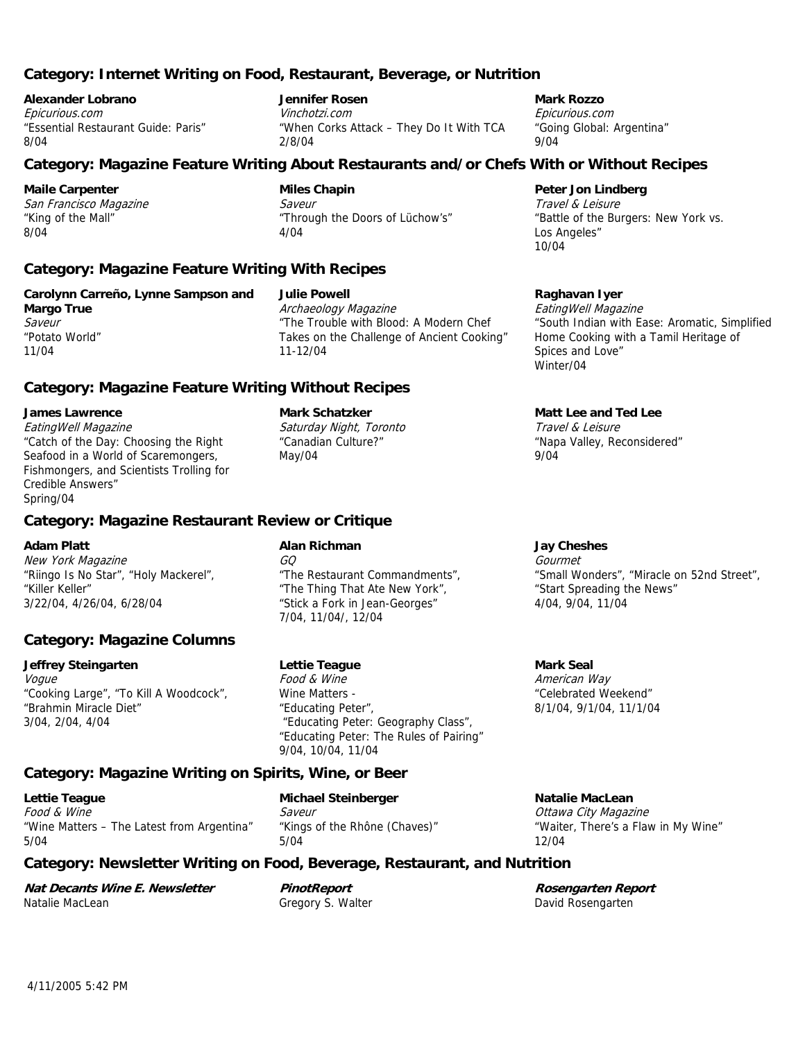#### **Category: Internet Writing on Food, Restaurant, Beverage, or Nutrition**

**Alexander Lobrano** 

Epicurious.com "Essential Restaurant Guide: Paris" 8/04

#### **Jennifer Rosen**

**Julie Powell** 

Archaeology Magazine

Vinchotzi.com "When Corks Attack – They Do It With TCA 2/8/04

## **Category: Magazine Feature Writing About Restaurants and/or Chefs With or Without Recipes**

**Maile Carpenter** 

San Francisco Magazine "King of the Mall" 8/04

**Miles Chapin**  Saveur "Through the Doors of Lüchow's" 4/04

## **Category: Magazine Feature Writing With Recipes**

| Carolynn Carreño, Lynne Sampson and |
|-------------------------------------|
| Margo True                          |
| Saveur                              |
| "Potato World"                      |
| 11/04                               |
|                                     |

"The Trouble with Blood: A Modern Chef Takes on the Challenge of Ancient Cooking" 11-12/04

#### **Category: Magazine Feature Writing Without Recipes**

#### **James Lawrence**

EatingWell Magazine "Catch of the Day: Choosing the Right Seafood in a World of Scaremongers, Fishmongers, and Scientists Trolling for Credible Answers" Spring/04

## **Category: Magazine Restaurant Review or Critique**

#### **Adam Platt**

New York Magazine "Riingo Is No Star", "Holy Mackerel", "Killer Keller"

#### **Category: Magazine Columns**

3/22/04, 4/26/04, 6/28/04

**Jeffrey Steingarten**  Vogue "Cooking Large", "To Kill A Woodcock", "Brahmin Miracle Diet" 3/04, 2/04, 4/04

## **Alan Richman**

**Mark Schatzker**  Saturday Night, Toronto "Canadian Culture?"

May/04

 $GQ$ "The Restaurant Commandments", "The Thing That Ate New York", "Stick a Fork in Jean-Georges" 7/04, 11/04/, 12/04

#### **Lettie Teague**

Food & Wine Wine Matters - "Educating Peter", "Educating Peter: Geography Class", "Educating Peter: The Rules of Pairing" 9/04, 10/04, 11/04

## **Category: Magazine Writing on Spirits, Wine, or Beer**

**Lettie Teague**  Food & Wine "Wine Matters – The Latest from Argentina" 5/04

**Michael Steinberger**  Saveur "Kings of the Rhône (Chaves)" 5/04

## **Category: Newsletter Writing on Food, Beverage, Restaurant, and Nutrition**

**Nat Decants Wine E. Newsletter**  Natalie MacLean

**PinotReport**  Gregory S. Walter **Mark Rozzo** 

Epicurious.com "Going Global: Argentina" 9/04

#### **Peter Jon Lindberg**

Travel & Leisure "Battle of the Burgers: New York vs. Los Angeles" 10/04

#### **Raghavan Iyer**

EatingWell Magazine "South Indian with Ease: Aromatic, Simplified Home Cooking with a Tamil Heritage of Spices and Love" Winter/04

#### **Matt Lee and Ted Lee**

Travel & Leisure "Napa Valley, Reconsidered" 9/04

#### **Jay Cheshes**

Gourmet "Small Wonders", "Miracle on 52nd Street", "Start Spreading the News" 4/04, 9/04, 11/04

#### **Mark Seal**

American Way "Celebrated Weekend" 8/1/04, 9/1/04, 11/1/04

**Natalie MacLean**  Ottawa City Magazine "Waiter, There's a Flaw in My Wine" 12/04

| Rosengarten Report |
|--------------------|
| David Rosengarten  |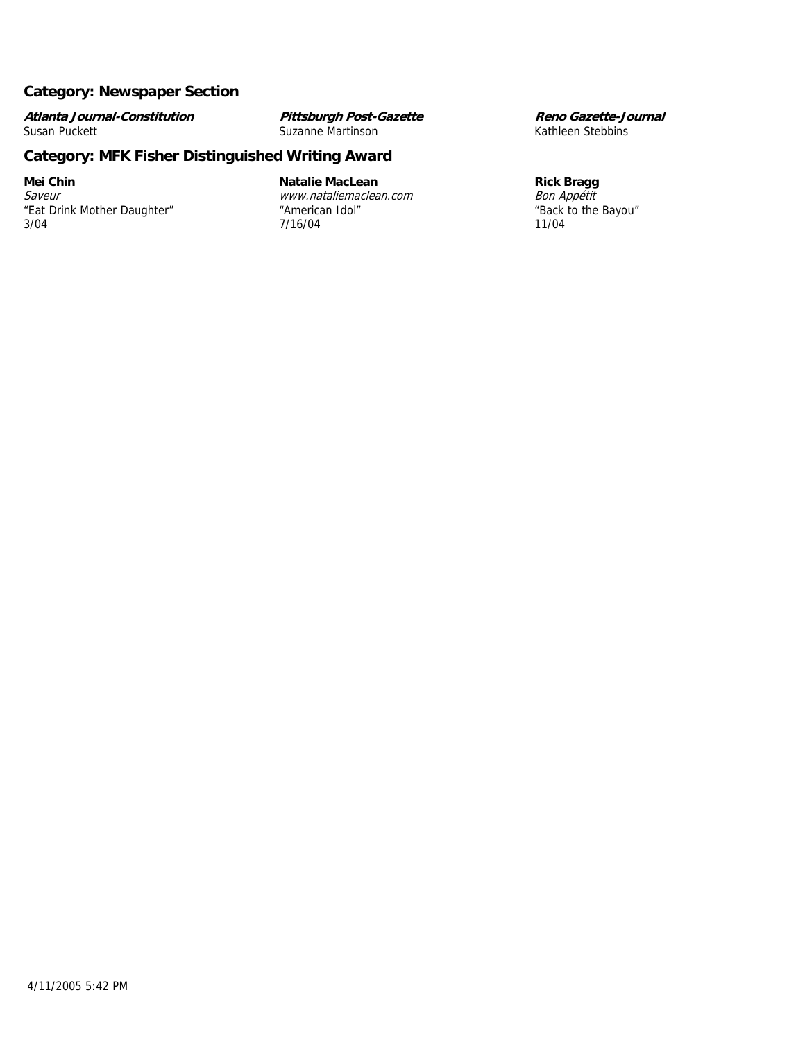## **Category: Newspaper Section**

**Atlanta Journal-Constitution**  Susan Puckett

**Pittsburgh Post-Gazette**  Suzanne Martinson

## **Category: MFK Fisher Distinguished Writing Award**

#### **Mei Chin**

Saveur "Eat Drink Mother Daughter" 3/04

**Natalie MacLean**  www.nataliemaclean.com "American Idol" 7/16/04

**Reno Gazette-Journal**  Kathleen Stebbins

#### **Rick Bragg**

Bon Appétit "Back to the Bayou" 11/04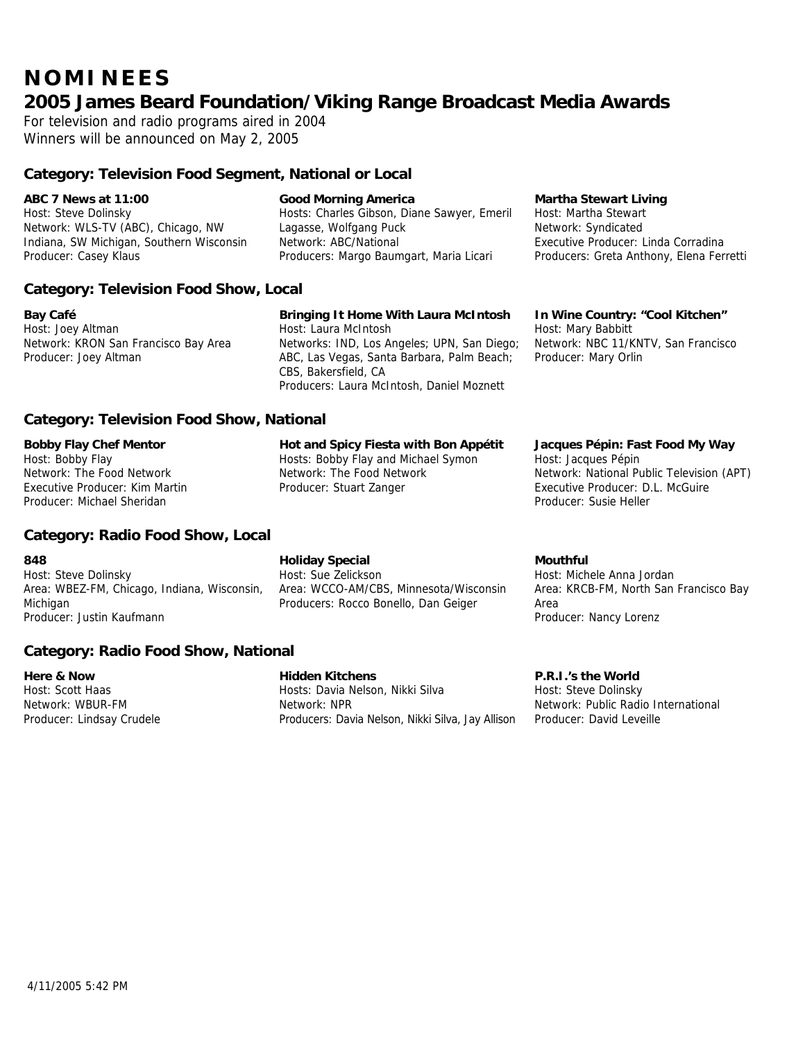# **NOMINEES**

# **2005 James Beard Foundation/Viking Range Broadcast Media Awards**

For television and radio programs aired in 2004 Winners will be announced on May 2, 2005

## **Category: Television Food Segment, National or Local**

#### **ABC 7 News at 11:00**

Host: Steve Dolinsky Network: WLS-TV (ABC), Chicago, NW Indiana, SW Michigan, Southern Wisconsin Producer: Casey Klaus

#### **Good Morning America**

Hosts: Charles Gibson, Diane Sawyer, Emeril Lagasse, Wolfgang Puck Network: ABC/National Producers: Margo Baumgart, Maria Licari

## **Martha Stewart Living**

Host: Martha Stewart Network: Syndicated Executive Producer: Linda Corradina Producers: Greta Anthony, Elena Ferretti

## **Category: Television Food Show, Local**

**Bay Café**  Host: Joey Altman Network: KRON San Francisco Bay Area Producer: Joey Altman

#### **Bringing It Home With Laura McIntosh**  Host: Laura McIntosh Networks: IND, Los Angeles; UPN, San Diego; ABC, Las Vegas, Santa Barbara, Palm Beach; CBS, Bakersfield, CA Producers: Laura McIntosh, Daniel Moznett

**Hot and Spicy Fiesta with Bon Appétit**  Hosts: Bobby Flay and Michael Symon

Network: The Food Network Producer: Stuart Zanger

#### **In Wine Country: "Cool Kitchen"**  Host: Mary Babbitt

Network: NBC 11/KNTV, San Francisco Producer: Mary Orlin

**Jacques Pépin: Fast Food My Way** 

Network: National Public Television (APT) Executive Producer: D.L. McGuire

## **Category: Television Food Show, National**

#### **Bobby Flay Chef Mentor**

Host: Bobby Flay Network: The Food Network Executive Producer: Kim Martin Producer: Michael Sheridan

#### **Category: Radio Food Show, Local**

# **848**

Host: Steve Dolinsky Area: WBEZ-FM, Chicago, Indiana, Wisconsin, **Michigan** Producer: Justin Kaufmann

**Holiday Special**  Host: Sue Zelickson Area: WCCO-AM/CBS, Minnesota/Wisconsin Producers: Rocco Bonello, Dan Geiger

#### **Category: Radio Food Show, National**

**Here & Now**  Host: Scott Haas Network: WBUR-FM Producer: Lindsay Crudele

## **Hidden Kitchens**

Hosts: Davia Nelson, Nikki Silva Network: NPR Producers: Davia Nelson, Nikki Silva, Jay Allison

#### **Mouthful**

Host: Michele Anna Jordan Area: KRCB-FM, North San Francisco Bay Area Producer: Nancy Lorenz

#### **P.R.I.'s the World**

Host: Jacques Pépin

Producer: Susie Heller

Host: Steve Dolinsky Network: Public Radio International Producer: David Leveille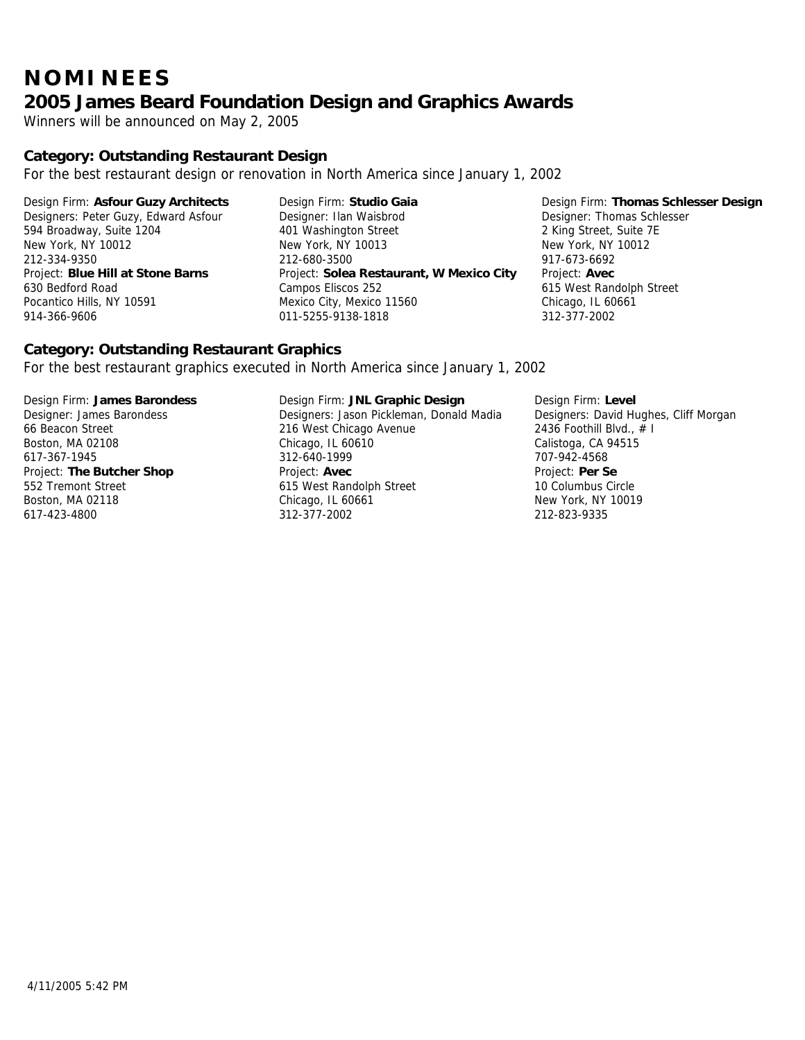# **NOMINEES 2005 James Beard Foundation Design and Graphics Awards**

Winners will be announced on May 2, 2005

## **Category: Outstanding Restaurant Design**

For the best restaurant design or renovation in North America since January 1, 2002

Design Firm: **Asfour Guzy Architects** Designers: Peter Guzy, Edward Asfour 594 Broadway, Suite 1204 New York, NY 10012 212-334-9350 Project: **Blue Hill at Stone Barns** 630 Bedford Road Pocantico Hills, NY 10591 914-366-9606

Design Firm: **Studio Gaia** Designer: Ilan Waisbrod 401 Washington Street New York, NY 10013 212-680-3500 Project: **Solea Restaurant, W Mexico City** Campos Eliscos 252 Mexico City, Mexico 11560 011-5255-9138-1818

Design Firm: **Thomas Schlesser Design** Designer: Thomas Schlesser 2 King Street, Suite 7E New York, NY 10012 917-673-6692 Project: **Avec** 615 West Randolph Street Chicago, IL 60661 312-377-2002

## **Category: Outstanding Restaurant Graphics**

For the best restaurant graphics executed in North America since January 1, 2002

Design Firm: **James Barondess**

Designer: James Barondess 66 Beacon Street Boston, MA 02108 617-367-1945 Project: **The Butcher Shop** 552 Tremont Street Boston, MA 02118 617-423-4800

Design Firm: **JNL Graphic Design**  Designers: Jason Pickleman, Donald Madia 216 West Chicago Avenue Chicago, IL 60610 312-640-1999 Project: **Avec**  615 West Randolph Street Chicago, IL 60661 312-377-2002

Design Firm: **Level**  Designers: David Hughes, Cliff Morgan 2436 Foothill Blvd.,  $# I$ Calistoga, CA 94515 707-942-4568 Project: **Per Se**  10 Columbus Circle New York, NY 10019 212-823-9335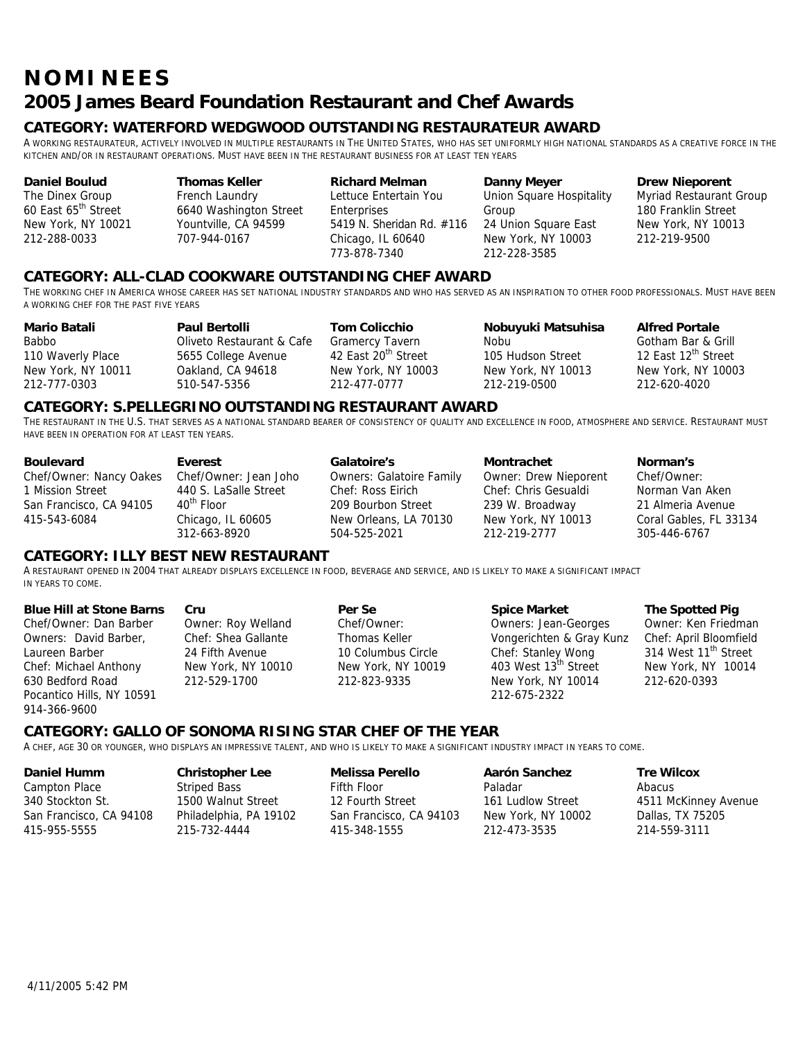# **NOMINEES 2005 James Beard Foundation Restaurant and Chef Awards**

## **CATEGORY: WATERFORD WEDGWOOD OUTSTANDING RESTAURATEUR AWARD**

A WORKING RESTAURATEUR, ACTIVELY INVOLVED IN MULTIPLE RESTAURANTS IN THE UNITED STATES, WHO HAS SET UNIFORMLY HIGH NATIONAL STANDARDS AS A CREATIVE FORCE IN THE KITCHEN AND/OR IN RESTAURANT OPERATIONS. MUST HAVE BEEN IN THE RESTAURANT BUSINESS FOR AT LEAST TEN YEARS

#### **Daniel Boulud**

The Dinex Group 60 East 65th Street New York, NY 10021 212-288-0033

**Thomas Keller**  French Laundry 6640 Washington Street Yountville, CA 94599 707-944-0167

**Richard Melman**  Lettuce Entertain You Enterprises 5419 N. Sheridan Rd. #116 Chicago, IL 60640 773-878-7340

**Danny Meyer**  Union Square Hospitality Group 24 Union Square East New York, NY 10003 212-228-3585

#### **Drew Nieporent**

Myriad Restaurant Group 180 Franklin Street New York, NY 10013 212-219-9500

## **CATEGORY: ALL-CLAD COOKWARE OUTSTANDING CHEF AWARD**

THE WORKING CHEF IN AMERICA WHOSE CAREER HAS SET NATIONAL INDUSTRY STANDARDS AND WHO HAS SERVED AS AN INSPIRATION TO OTHER FOOD PROFESSIONALS. MUST HAVE BEEN A WORKING CHEF FOR THE PAST FIVE YEARS

| Mario Batali       | <b>Paul Bertolli</b>      | <b>Tom Colicchio</b>            | Nobuyuki Matsuhisa | <b>Alfred Portale</b>           |
|--------------------|---------------------------|---------------------------------|--------------------|---------------------------------|
| Babbo              | Oliveto Restaurant & Cafe | <b>Gramercy Tavern</b>          | Nobu               | Gotham Bar & Grill              |
| 110 Waverly Place  | 5655 College Avenue       | 42 East 20 <sup>th</sup> Street | 105 Hudson Street  | 12 East 12 <sup>th</sup> Street |
| New York, NY 10011 | Oakland, CA 94618         | New York, NY 10003              | New York, NY 10013 | New York, NY 10003              |
| 212-777-0303       | 510-547-5356              | 212-477-0777                    | 212-219-0500       | 212-620-4020                    |
|                    |                           |                                 |                    |                                 |

## **CATEGORY: S.PELLEGRINO OUTSTANDING RESTAURANT AWARD**

THE RESTAURANT IN THE U.S. THAT SERVES AS A NATIONAL STANDARD BEARER OF CONSISTENCY OF QUALITY AND EXCELLENCE IN FOOD, ATMOSPHERE AND SERVICE. RESTAURANT MUST HAVE BEEN IN OPERATION FOR AT LEAST TEN YEARS.

| <b>Boulevard</b>        | Everest                | Galatoire's                     | Montrachet                   | Norman's               |
|-------------------------|------------------------|---------------------------------|------------------------------|------------------------|
| Chef/Owner: Nancy Oakes | Chef/Owner: Jean Joho  | <b>Owners: Galatoire Family</b> | <b>Owner: Drew Nieporent</b> | Chef/Owner:            |
| 1 Mission Street        | 440 S. LaSalle Street  | Chef: Ross Eirich               | Chef: Chris Gesualdi         | Norman Van Aken        |
| San Francisco, CA 94105 | 40 <sup>th</sup> Floor | 209 Bourbon Street              | 239 W. Broadway              | 21 Almeria Avenue      |
| 415-543-6084            | Chicago, IL 60605      | New Orleans, LA 70130           | New York, NY 10013           | Coral Gables, FL 33134 |
|                         | 312-663-8920           | 504-525-2021                    | 212-219-2777                 | 305-446-6767           |

#### **CATEGORY: ILLY BEST NEW RESTAURANT**

A RESTAURANT OPENED IN 2004 THAT ALREADY DISPLAYS EXCELLENCE IN FOOD, BEVERAGE AND SERVICE, AND IS LIKELY TO MAKE A SIGNIFICANT IMPACT IN YEARS TO COME.

| <b>Blue Hill at Stone Barns</b> | Cru                 | Per Se             | <b>Spice Market</b>         | The Spotted Pig                  |
|---------------------------------|---------------------|--------------------|-----------------------------|----------------------------------|
| Chef/Owner: Dan Barber          | Owner: Roy Welland  | Chef/Owner:        | <b>Owners: Jean-Georges</b> | Owner: Ken Friedman              |
| Owners: David Barber,           | Chef: Shea Gallante | Thomas Keller      | Vongerichten & Gray Kunz    | Chef: April Bloomfield           |
| Laureen Barber                  | 24 Fifth Avenue     | 10 Columbus Circle | Chef: Stanley Wong          | 314 West 11 <sup>th</sup> Street |
| Chef: Michael Anthony           | New York, NY 10010  | New York, NY 10019 | 403 West 13th Street        | New York, NY 10014               |
| 630 Bedford Road                | 212-529-1700        | 212-823-9335       | New York, NY 10014          | 212-620-0393                     |
| Pocantico Hills, NY 10591       |                     |                    | 212-675-2322                |                                  |
| 914-366-9600                    |                     |                    |                             |                                  |

## **CATEGORY: GALLO OF SONOMA RISING STAR CHEF OF THE YEAR**

A CHEF, AGE 30 OR YOUNGER, WHO DISPLAYS AN IMPRESSIVE TALENT, AND WHO IS LIKELY TO MAKE A SIGNIFICANT INDUSTRY IMPACT IN YEARS TO COME.

| Daniel Humm             | <b>Christopher Lee</b> | <b>Melissa Perello</b>  | Aarón Sanchez      | <b>Tre Wilcox</b>    |
|-------------------------|------------------------|-------------------------|--------------------|----------------------|
| Campton Place           | <b>Striped Bass</b>    | Fifth Floor             | Paladar            | Abacus               |
| 340 Stockton St.        | 1500 Walnut Street     | 12 Fourth Street        | 161 Ludlow Street  | 4511 McKinney Avenue |
| San Francisco, CA 94108 | Philadelphia, PA 19102 | San Francisco, CA 94103 | New York, NY 10002 | Dallas, TX 75205     |
| 415-955-5555            | 215-732-4444           | 415-348-1555            | 212-473-3535       | 214-559-3111         |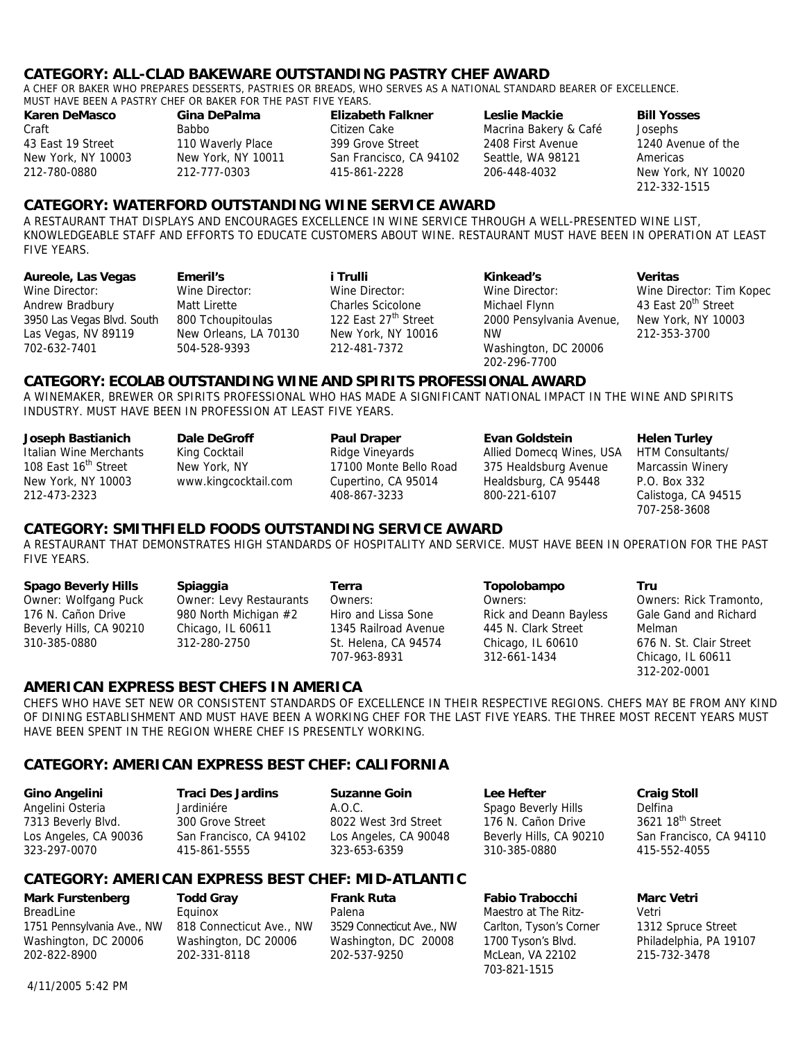#### **CATEGORY: ALL-CLAD BAKEWARE OUTSTANDING PASTRY CHEF AWARD**

A CHEF OR BAKER WHO PREPARES DESSERTS, PASTRIES OR BREADS, WHO SERVES AS A NATIONAL STANDARD BEARER OF EXCELLENCE. MUST HAVE BEEN A PASTRY CHEF OR BAKER FOR THE PAST FIVE YEARS.

> 399 Grove Street San Francisco, CA 94102

415-861-2228

| Karen DeMasco      | Gina DePalma      |
|--------------------|-------------------|
| Craft              | <b>Babbo</b>      |
| 43 East 19 Street  | 110 Waverly Place |
| New York, NY 10003 | New York, NY 100  |
| 212-780-0880       | 212-777-0303      |
|                    |                   |

#### **Elizabeth Falkner**  Citizen Cake

**Leslie Mackie**  Macrina Bakery & Café 2408 First Avenue Seattle, WA 98121 206-448-4032

#### **Bill Yosses**

Josephs 1240 Avenue of the Americas New York, NY 10020 212-332-1515

## **CATEGORY: WATERFORD OUTSTANDING WINE SERVICE AWARD**

10011

A RESTAURANT THAT DISPLAYS AND ENCOURAGES EXCELLENCE IN WINE SERVICE THROUGH A WELL-PRESENTED WINE LIST, KNOWLEDGEABLE STAFF AND EFFORTS TO EDUCATE CUSTOMERS ABOUT WINE. RESTAURANT MUST HAVE BEEN IN OPERATION AT LEAST FIVE YEARS.

| Aureole, Las Vegas         | Emeril's              | i Trulli                 | Kinkead's                | <b>Veritas</b>                  |
|----------------------------|-----------------------|--------------------------|--------------------------|---------------------------------|
| Wine Director:             | Wine Director:        | Wine Director:           | Wine Director:           | Wine Director: Tim Kopec        |
| Andrew Bradbury            | Matt Lirette          | <b>Charles Scicolone</b> | Michael Flynn            | 43 East 20 <sup>th</sup> Street |
| 3950 Las Vegas Blvd. South | 800 Tchoupitoulas     | 122 East 27th Street     | 2000 Pensylvania Avenue, | New York, NY 10003              |
| Las Vegas, NV 89119        | New Orleans, LA 70130 | New York, NY 10016       | <b>NW</b>                | 212-353-3700                    |
| 702-632-7401               | 504-528-9393          | 212-481-7372             | Washington, DC 20006     |                                 |
|                            |                       |                          | 202-296-7700             |                                 |

## **CATEGORY: ECOLAB OUTSTANDING WINE AND SPIRITS PROFESSIONAL AWARD**

A WINEMAKER, BREWER OR SPIRITS PROFESSIONAL WHO HAS MADE A SIGNIFICANT NATIONAL IMPACT IN THE WINE AND SPIRITS INDUSTRY. MUST HAVE BEEN IN PROFESSION AT LEAST FIVE YEARS.

| Joseph Bastianich                | <b>Dale DeGroff</b>  | <b>Paul Draper</b>     | Evan Goldstein           | <b>Helen Turley</b> |
|----------------------------------|----------------------|------------------------|--------------------------|---------------------|
| Italian Wine Merchants           | King Cocktail        | Ridge Vineyards        | Allied Domecq Wines, USA | HTM Consultants/    |
| 108 East 16 <sup>th</sup> Street | New York, NY         | 17100 Monte Bello Road | 375 Healdsburg Avenue    | Marcassin Winery    |
| New York, NY 10003               | www.kingcocktail.com | Cupertino, CA 95014    | Healdsburg, CA 95448     | P.O. Box 332        |
| 212-473-2323                     |                      | 408-867-3233           | 800-221-6107             | Calistoga, CA 94515 |
|                                  |                      |                        |                          | 707-258-3608        |

## **CATEGORY: SMITHFIELD FOODS OUTSTANDING SERVICE AWARD**

A RESTAURANT THAT DEMONSTRATES HIGH STANDARDS OF HOSPITALITY AND SERVICE. MUST HAVE BEEN IN OPERATION FOR THE PAST FIVE YEARS.

| <b>Spago Beverly Hills</b> | Spiaggia                       | Terra                | Topolobampo            | Tru                          |
|----------------------------|--------------------------------|----------------------|------------------------|------------------------------|
| Owner: Wolfgang Puck       | <b>Owner: Levy Restaurants</b> | Owners:              | Owners:                | Owners: Rick Tramonto,       |
| 176 N. Cañon Drive         | 980 North Michigan #2          | Hiro and Lissa Sone  | Rick and Deann Bayless | <b>Gale Gand and Richard</b> |
| Beverly Hills, CA 90210    | Chicago, IL 60611              | 1345 Railroad Avenue | 445 N. Clark Street    | Melman                       |
| 310-385-0880               | 312-280-2750                   | St. Helena, CA 94574 | Chicago, IL 60610      | 676 N. St. Clair Street      |
|                            |                                | 707-963-8931         | 312-661-1434           | Chicago, IL 60611            |
|                            |                                |                      |                        | 312-202-0001                 |

## **AMERICAN EXPRESS BEST CHEFS IN AMERICA**

CHEFS WHO HAVE SET NEW OR CONSISTENT STANDARDS OF EXCELLENCE IN THEIR RESPECTIVE REGIONS. CHEFS MAY BE FROM ANY KIND OF DINING ESTABLISHMENT AND MUST HAVE BEEN A WORKING CHEF FOR THE LAST FIVE YEARS. THE THREE MOST RECENT YEARS MUST HAVE BEEN SPENT IN THE REGION WHERE CHEF IS PRESENTLY WORKING.

## **CATEGORY: AMERICAN EXPRESS BEST CHEF: CALIFORNIA**

| Gino Angelini         | <b>Traci Des Jardins</b> | <b>Suzanne Goin</b>   | Lee Hefter              | <b>Craig Stoll</b>           |
|-----------------------|--------------------------|-----------------------|-------------------------|------------------------------|
| Angelini Osteria      | Jardiniére               | A.O.C.                | Spago Beverly Hills     | <b>Delfina</b>               |
| 7313 Beverly Blvd.    | 300 Grove Street         | 8022 West 3rd Street  | 176 N. Cañon Drive      | 3621 18 <sup>th</sup> Street |
| Los Angeles, CA 90036 | San Francisco, CA 94102  | Los Angeles, CA 90048 | Beverly Hills, CA 90210 | San Francisco, CA            |
| 323-297-0070          | 415-861-5555             | 323-653-6359          | 310-385-0880            | 415-552-4055                 |
|                       |                          |                       |                         |                              |

## **CATEGORY: AMERICAN EXPRESS BEST CHEF: MID-ATLANTIC**

| <b>Mark Furstenberg</b>    | <b>Todd Gray</b>         | <b>Frank Ruta</b>         | <b>Fabio</b> |
|----------------------------|--------------------------|---------------------------|--------------|
| <b>BreadLine</b>           | Equinox                  | Palena                    | Maestro      |
| 1751 Pennsylvania Ave., NW | 818 Connecticut Ave., NW | 3529 Connecticut Ave., NW | Carlton      |
| Washington, DC 20006       | Washington, DC 20006     | Washington, DC 20008      | 1700 T       |
| 202-822-8900               | 202-331-8118             | 202-537-9250              | McLean       |

**Trabocchi** o at The Ritz-I, Tyson's Corner yson's Blvd. า, VA 22102 703-821-1515

94110

## **Marc Vetri**

Vetri 1312 Spruce Street Philadelphia, PA 19107 215-732-3478